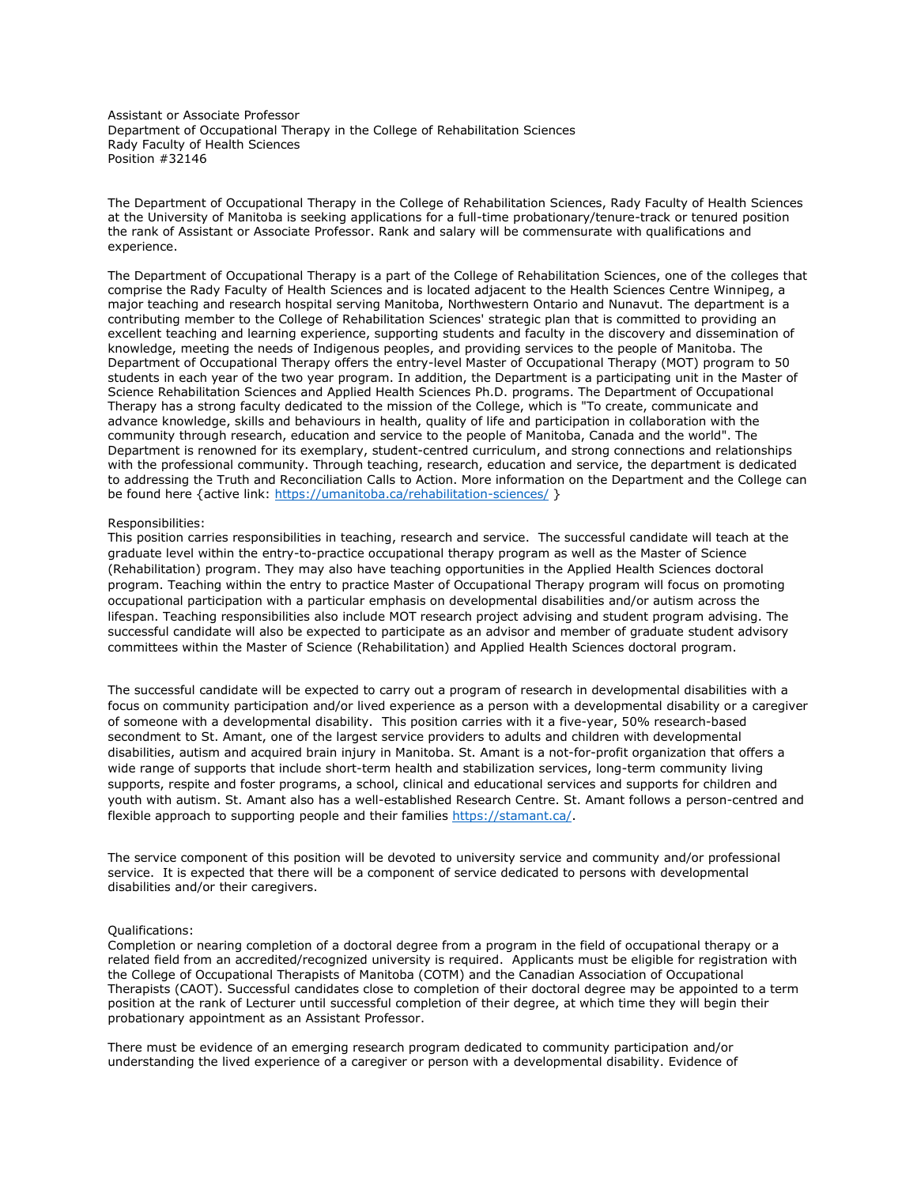Assistant or Associate Professor Department of Occupational Therapy in the College of Rehabilitation Sciences Rady Faculty of Health Sciences Position #32146

The Department of Occupational Therapy in the College of Rehabilitation Sciences, Rady Faculty of Health Sciences at the University of Manitoba is seeking applications for a full-time probationary/tenure-track or tenured position the rank of Assistant or Associate Professor. Rank and salary will be commensurate with qualifications and experience.

The Department of Occupational Therapy is a part of the College of Rehabilitation Sciences, one of the colleges that comprise the Rady Faculty of Health Sciences and is located adjacent to the Health Sciences Centre Winnipeg, a major teaching and research hospital serving Manitoba, Northwestern Ontario and Nunavut. The department is a contributing member to the College of Rehabilitation Sciences' strategic plan that is committed to providing an excellent teaching and learning experience, supporting students and faculty in the discovery and dissemination of knowledge, meeting the needs of Indigenous peoples, and providing services to the people of Manitoba. The Department of Occupational Therapy offers the entry-level Master of Occupational Therapy (MOT) program to 50 students in each year of the two year program. In addition, the Department is a participating unit in the Master of Science Rehabilitation Sciences and Applied Health Sciences Ph.D. programs. The Department of Occupational Therapy has a strong faculty dedicated to the mission of the College, which is "To create, communicate and advance knowledge, skills and behaviours in health, quality of life and participation in collaboration with the community through research, education and service to the people of Manitoba, Canada and the world". The Department is renowned for its exemplary, student-centred curriculum, and strong connections and relationships with the professional community. Through teaching, research, education and service, the department is dedicated to addressing the Truth and Reconciliation Calls to Action. More information on the Department and the College can be found here {active link:<https://umanitoba.ca/rehabilitation-sciences/> }

## Responsibilities:

This position carries responsibilities in teaching, research and service. The successful candidate will teach at the graduate level within the entry-to-practice occupational therapy program as well as the Master of Science (Rehabilitation) program. They may also have teaching opportunities in the Applied Health Sciences doctoral program. Teaching within the entry to practice Master of Occupational Therapy program will focus on promoting occupational participation with a particular emphasis on developmental disabilities and/or autism across the lifespan. Teaching responsibilities also include MOT research project advising and student program advising. The successful candidate will also be expected to participate as an advisor and member of graduate student advisory committees within the Master of Science (Rehabilitation) and Applied Health Sciences doctoral program.

The successful candidate will be expected to carry out a program of research in developmental disabilities with a focus on community participation and/or lived experience as a person with a developmental disability or a caregiver of someone with a developmental disability. This position carries with it a five-year, 50% research-based secondment to St. Amant, one of the largest service providers to adults and children with developmental disabilities, autism and acquired brain injury in Manitoba. St. Amant is a not-for-profit organization that offers a wide range of supports that include short-term health and stabilization services, long-term community living supports, respite and foster programs, a school, clinical and educational services and supports for children and youth with autism. St. Amant also has a well-established Research Centre. St. Amant follows a person-centred and flexible approach to supporting people and their families [https://stamant.ca/.](https://stamant.ca/)

The service component of this position will be devoted to university service and community and/or professional service. It is expected that there will be a component of service dedicated to persons with developmental disabilities and/or their caregivers.

## Qualifications:

Completion or nearing completion of a doctoral degree from a program in the field of occupational therapy or a related field from an accredited/recognized university is required. Applicants must be eligible for registration with the College of Occupational Therapists of Manitoba (COTM) and the Canadian Association of Occupational Therapists (CAOT). Successful candidates close to completion of their doctoral degree may be appointed to a term position at the rank of Lecturer until successful completion of their degree, at which time they will begin their probationary appointment as an Assistant Professor.

There must be evidence of an emerging research program dedicated to community participation and/or understanding the lived experience of a caregiver or person with a developmental disability. Evidence of